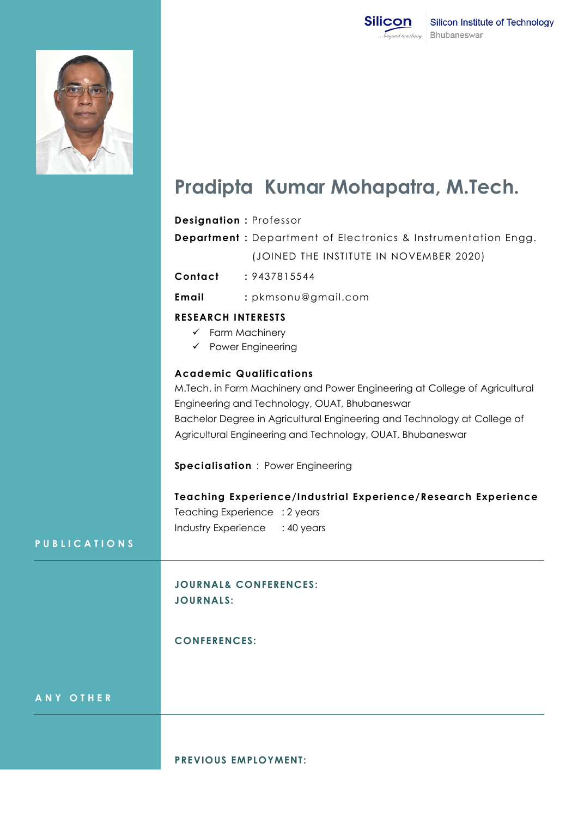



## **Pradipta Kumar Mohapatra, M.Tech.**

## **Designation :** Professor **Department :** Department of Electronics & Instrumentation Engg. (JOINED THE INSTITUTE IN NOVEMBER 2020) **Contact :** 9437815544 **Email :** pkmsonu@gmail.com **RESEARCH INTERESTS**  $\checkmark$  Farm Machinery  $\checkmark$  Power Engineering **Academic Qualifications** M.Tech. in Farm Machinery and Power Engineering at College of Agricultural Engineering and Technology, OUAT, Bhubaneswar Bachelor Degree in Agricultural Engineering and Technology at College of Agricultural Engineering and Technology, OUAT, Bhubaneswar **Specialisation** : Power Engineering **Teaching Experience/Industrial Experience/Research Experience** Teaching Experience : 2 years Industry Experience : 40 years **JOURNAL& CONFERENCES: JOURNALS: CONFERENCES:**

**A N Y O T H E R**

**P U B L I C A T I O N S**

**PREVIOUS EMPLOYMENT:**